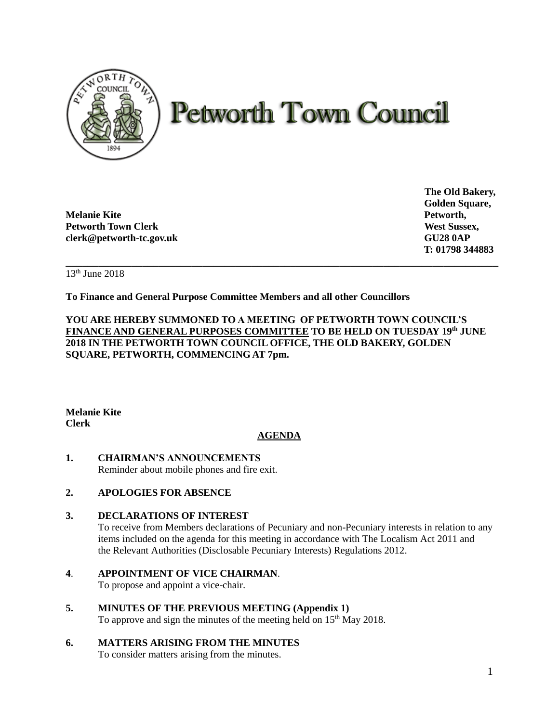

# **Petworth Town Council**

**Melanie Kite Petworth, Petworth Town Clerk West Sussex, West Sussex, West Sussex, West Sussex, West Sussex, West Sussex, West Sussex, West Sussex, West Sussex, West Sussex, West Sussex, West Sussex, West Sussex, West Sussex, West Sussex, West S clerk@petworth-tc.gov.uk GU28 0AP**

**The Old Bakery, Golden Square, T: 01798 344883**

**\_\_\_\_\_\_\_\_\_\_\_\_\_\_\_\_\_\_\_\_\_\_\_\_\_\_\_\_\_\_\_\_\_\_\_\_\_\_\_\_\_\_\_\_\_\_\_\_\_\_\_\_\_\_\_\_\_\_\_\_\_\_\_\_\_\_\_\_\_\_\_\_\_\_\_\_\_\_\_** 13th June 2018

**To Finance and General Purpose Committee Members and all other Councillors**

**YOU ARE HEREBY SUMMONED TO A MEETING OF PETWORTH TOWN COUNCIL'S FINANCE AND GENERAL PURPOSES COMMITTEE TO BE HELD ON TUESDAY 19 th JUNE 2018 IN THE PETWORTH TOWN COUNCIL OFFICE, THE OLD BAKERY, GOLDEN SQUARE, PETWORTH, COMMENCING AT 7pm.** 

**Melanie Kite Clerk**

# **AGENDA**

**1. CHAIRMAN'S ANNOUNCEMENTS** Reminder about mobile phones and fire exit.

# **2. APOLOGIES FOR ABSENCE**

## **3. DECLARATIONS OF INTEREST**

To receive from Members declarations of Pecuniary and non-Pecuniary interests in relation to any items included on the agenda for this meeting in accordance with The Localism Act 2011 and the Relevant Authorities (Disclosable Pecuniary Interests) Regulations 2012.

## **4**. **APPOINTMENT OF VICE CHAIRMAN**.

To propose and appoint a vice-chair.

**5. MINUTES OF THE PREVIOUS MEETING (Appendix 1)** To approve and sign the minutes of the meeting held on 15<sup>th</sup> May 2018.

## **6. MATTERS ARISING FROM THE MINUTES**

To consider matters arising from the minutes.